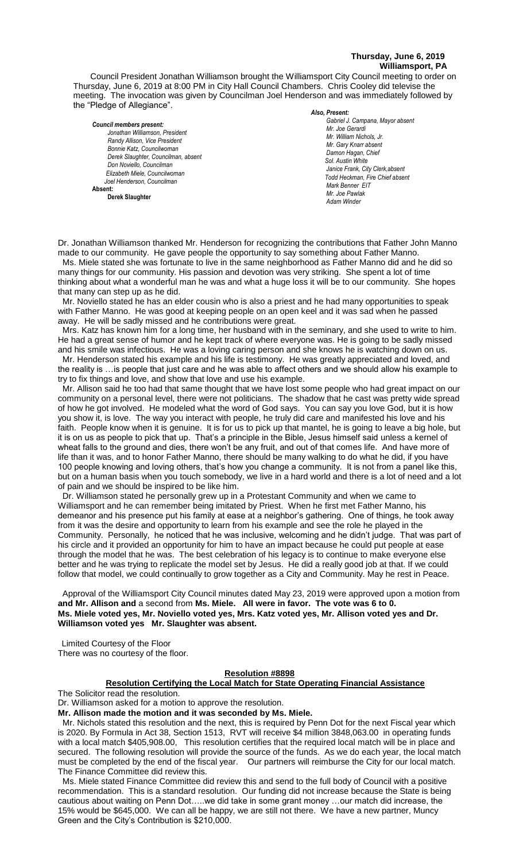## **Thursday, June 6, 2019 Williamsport, PA**

Council President Jonathan Williamson brought the Williamsport City Council meeting to order on Thursday, June 6, 2019 at 8:00 PM in City Hall Council Chambers. Chris Cooley did televise the meeting. The invocation was given by Councilman Joel Henderson and was immediately followed by the "Pledge of Allegiance".

*Council members present: Jonathan Williamson, President*   $R$ andy Allison, Vice President *Bonnie Katz, Councilwoman Derek Slaughter, Councilman, absent Don Noviello, Councilman Elizabeth Miele, Councilwoman Joel Henderson, Councilman*  **Absent: Derek Slaughter** 

#### *Also, Present:*

*Gabriel J. Campana, Mayor absent Mr. William Nichols, Jr. Mr. Joe Gerardi Mr. Joseph Pawlak Mr. William Nichols, Jr. Mr. Joe Pawlak Mr. Gary Knarr absent Damon Hagan, Chief Chief Heinbach absent Sol. Austin White Janice Frank, City Clerk,absent Todd Heckman, Fire Chief absent* **Adam Winder** *Adam Winder Adam Winder <b>Adam Winder 2004 Mark Benner EIT Mr. Joe Pawlak Adam Winder*

Dr. Jonathan Williamson thanked Mr. Henderson for recognizing the contributions that Father John Manno made to our community. He gave people the opportunity to say something about Father Manno. Ms. Miele stated she was fortunate to live in the same neighborhood as Father Manno did and he did so *.* 

many things for our community. His passion and devotion was very striking. She spent a lot of time  *Mr. Gary Knarr*  thinking about what a wonderful man he was and what a huge loss it will be to our community. She hopes *Mr. Tom Cillo C. Dean Heinbach, Fire Chief* that many can step up as he did. *Mr. Joe Pawlak*

Mr. Noviello stated he has an elder cousin who is also a priest and he had many opportunities to speak with Father Manno. He was good at keeping people on an open keel and it was sad when he passed away. He will be sadly missed and he contributions were great. **E** Man Inc. The was good at Reeping people on an open Reel and it was sad when

Mrs. Katz has known him for a long time, her husband with in the seminary, and she used to write to him. He had a great sense of humor and he kept track of where everyone was. He is going to be sadly missed and his smile was infectious. He was a loving caring person and she knows he is watching down on us. Mr. Henderson stated his example and his life is testimony. He was greatly appreciated and loved, and the reality is …is people that just care and he was able to affect others and we should allow his example to try to fix things and love, and show that love and use his example.

Mr. Allison said he too had that same thought that we have lost some people who had great impact on our community on a personal level, there were not politicians. The shadow that he cast was pretty wide spread of how he got involved. He modeled what the word of God says. You can say you love God, but it is how you show it, is love. The way you interact with people, he truly did care and manifested his love and his faith. People know when it is genuine. It is for us to pick up that mantel, he is going to leave a big hole, but it is on us as people to pick that up. That's a principle in the Bible, Jesus himself said unless a kernel of wheat falls to the ground and dies, there won't be any fruit, and out of that comes life. And have more of life than it was, and to honor Father Manno, there should be many walking to do what he did, if you have 100 people knowing and loving others, that's how you change a community. It is not from a panel like this, but on a human basis when you touch somebody, we live in a hard world and there is a lot of need and a lot of pain and we should be inspired to be like him.

 Dr. Williamson stated he personally grew up in a Protestant Community and when we came to Williamsport and he can remember being imitated by Priest. When he first met Father Manno, his demeanor and his presence put his family at ease at a neighbor's gathering. One of things, he took away from it was the desire and opportunity to learn from his example and see the role he played in the Community. Personally, he noticed that he was inclusive, welcoming and he didn't judge. That was part of his circle and it provided an opportunity for him to have an impact because he could put people at ease through the model that he was. The best celebration of his legacy is to continue to make everyone else better and he was trying to replicate the model set by Jesus. He did a really good job at that. If we could follow that model, we could continually to grow together as a City and Community. May he rest in Peace.

 Approval of the Williamsport City Council minutes dated May 23, 2019 were approved upon a motion from **and Mr. Allison and** a second from **Ms. Miele. All were in favor. The vote was 6 to 0. Ms. Miele voted yes, Mr. Noviello voted yes, Mrs. Katz voted yes, Mr. Allison voted yes and Dr. Williamson voted yes Mr. Slaughter was absent.**

Limited Courtesy of the Floor

There was no courtesy of the floor.

## **Resolution #8898**

## **Resolution Certifying the Local Match for State Operating Financial Assistance**

The Solicitor read the resolution.

Dr. Williamson asked for a motion to approve the resolution.

**Mr. Allison made the motion and it was seconded by Ms. Miele.**

 Mr. Nichols stated this resolution and the next, this is required by Penn Dot for the next Fiscal year which is 2020. By Formula in Act 38, Section 1513, RVT will receive \$4 million 3848,063.00 in operating funds with a local match \$405,908.00, This resolution certifies that the required local match will be in place and secured. The following resolution will provide the source of the funds. As we do each year, the local match must be completed by the end of the fiscal year. Our partners will reimburse the City for our local match. The Finance Committee did review this.

 Ms. Miele stated Finance Committee did review this and send to the full body of Council with a positive recommendation. This is a standard resolution. Our funding did not increase because the State is being cautious about waiting on Penn Dot…..we did take in some grant money …our match did increase, the 15% would be \$645,000. We can all be happy, we are still not there. We have a new partner, Muncy Green and the City's Contribution is \$210,000.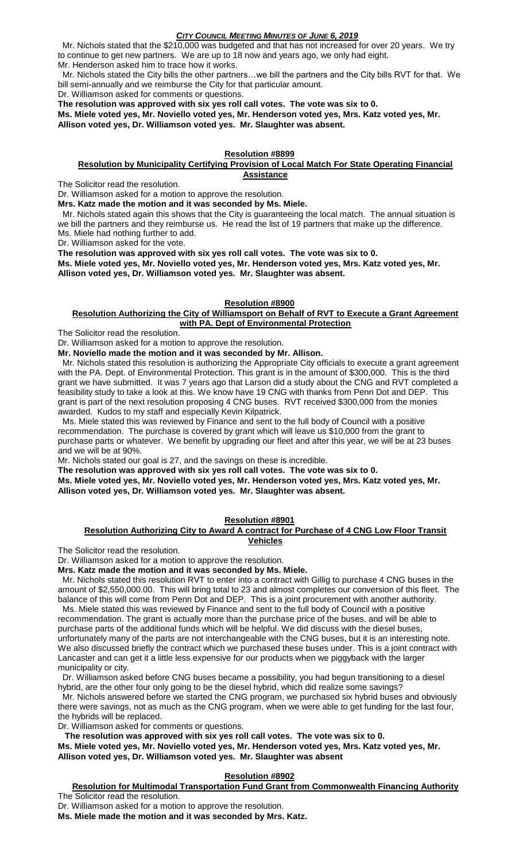Mr. Nichols stated that the \$210,000 was budgeted and that has not increased for over 20 years. We try to continue to get new partners. We are up to 18 now and years ago, we only had eight. Mr. Henderson asked him to trace how it works.

 Mr. Nichols stated the City bills the other partners…we bill the partners and the City bills RVT for that. We bill semi-annually and we reimburse the City for that particular amount.

Dr. Williamson asked for comments or questions.

**The resolution was approved with six yes roll call votes. The vote was six to 0.** 

**Ms. Miele voted yes, Mr. Noviello voted yes, Mr. Henderson voted yes, Mrs. Katz voted yes, Mr. Allison voted yes, Dr. Williamson voted yes. Mr. Slaughter was absent.**

## **Resolution #8899**

## **Resolution by Municipality Certifying Provision of Local Match For State Operating Financial Assistance**

The Solicitor read the resolution.

Dr. Williamson asked for a motion to approve the resolution.

**Mrs. Katz made the motion and it was seconded by Ms. Miele.**

 Mr. Nichols stated again this shows that the City is guaranteeing the local match. The annual situation is we bill the partners and they reimburse us. He read the list of 19 partners that make up the difference. Ms. Miele had nothing further to add.

Dr. Williamson asked for the vote.

**The resolution was approved with six yes roll call votes. The vote was six to 0.** 

**Ms. Miele voted yes, Mr. Noviello voted yes, Mr. Henderson voted yes, Mrs. Katz voted yes, Mr. Allison voted yes, Dr. Williamson voted yes. Mr. Slaughter was absent.**

## **Resolution #8900**

## **Resolution Authorizing the City of Williamsport on Behalf of RVT to Execute a Grant Agreement with PA. Dept of Environmental Protection**

The Solicitor read the resolution.

Dr. Williamson asked for a motion to approve the resolution.

**Mr. Noviello made the motion and it was seconded by Mr. Allison.**

 Mr. Nichols stated this resolution is authorizing the Appropriate City officials to execute a grant agreement with the PA. Dept. of Environmental Protection. This grant is in the amount of \$300,000. This is the third grant we have submitted. It was 7 years ago that Larson did a study about the CNG and RVT completed a feasibility study to take a look at this. We know have 19 CNG with thanks from Penn Dot and DEP. This grant is part of the next resolution proposing 4 CNG buses. RVT received \$300,000 from the monies awarded. Kudos to my staff and especially Kevin Kilpatrick.

 Ms. Miele stated this was reviewed by Finance and sent to the full body of Council with a positive recommendation. The purchase is covered by grant which will leave us \$10,000 from the grant to purchase parts or whatever. We benefit by upgrading our fleet and after this year, we will be at 23 buses and we will be at 90%.

Mr. Nichols stated our goal is 27, and the savings on these is incredible.

**The resolution was approved with six yes roll call votes. The vote was six to 0.** 

**Ms. Miele voted yes, Mr. Noviello voted yes, Mr. Henderson voted yes, Mrs. Katz voted yes, Mr. Allison voted yes, Dr. Williamson voted yes. Mr. Slaughter was absent.**

# **Resolution #8901**

## **Resolution Authorizing City to Award A contract for Purchase of 4 CNG Low Floor Transit Vehicles**

The Solicitor read the resolution.

Dr. Williamson asked for a motion to approve the resolution.

**Mrs. Katz made the motion and it was seconded by Ms. Miele.**

 Mr. Nichols stated this resolution RVT to enter into a contract with Gillig to purchase 4 CNG buses in the amount of \$2,550,000.00. This will bring total to 23 and almost completes our conversion of this fleet. The balance of this will come from Penn Dot and DEP. This is a joint procurement with another authority.

 Ms. Miele stated this was reviewed by Finance and sent to the full body of Council with a positive recommendation. The grant is actually more than the purchase price of the buses, and will be able to purchase parts of the additional funds which will be helpful. We did discuss with the diesel buses, unfortunately many of the parts are not interchangeable with the CNG buses, but it is an interesting note. We also discussed briefly the contract which we purchased these buses under. This is a joint contract with Lancaster and can get it a little less expensive for our products when we piggyback with the larger municipality or city.

 Dr. Williamson asked before CNG buses became a possibility, you had begun transitioning to a diesel hybrid, are the other four only going to be the diesel hybrid, which did realize some savings?

 Mr. Nichols answered before we started the CNG program, we purchased six hybrid buses and obviously there were savings, not as much as the CNG program, when we were able to get funding for the last four, the hybrids will be replaced.

Dr. Williamson asked for comments or questions.

**The resolution was approved with six yes roll call votes. The vote was six to 0.** 

**Ms. Miele voted yes, Mr. Noviello voted yes, Mr. Henderson voted yes, Mrs. Katz voted yes, Mr. Allison voted yes, Dr. Williamson voted yes. Mr. Slaughter was absent**

## **Resolution #8902**

#### **Resolution for Multimodal Transportation Fund Grant from Commonwealth Financing Authority** The Solicitor read the resolution.

Dr. Williamson asked for a motion to approve the resolution.

**Ms. Miele made the motion and it was seconded by Mrs. Katz.**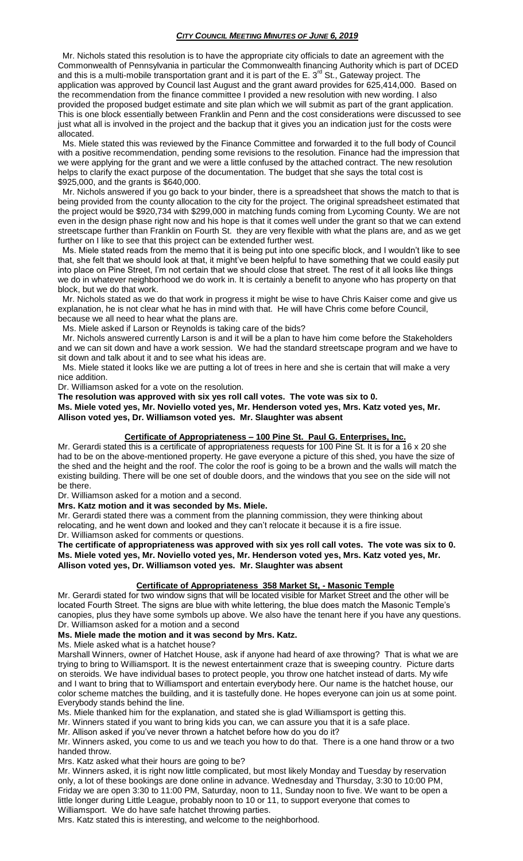Mr. Nichols stated this resolution is to have the appropriate city officials to date an agreement with the Commonwealth of Pennsylvania in particular the Commonwealth financing Authority which is part of DCED and this is a multi-mobile transportation grant and it is part of the E. 3<sup>rd</sup> St., Gateway project. The application was approved by Council last August and the grant award provides for 625,414,000. Based on the recommendation from the finance committee I provided a new resolution with new wording. I also provided the proposed budget estimate and site plan which we will submit as part of the grant application. This is one block essentially between Franklin and Penn and the cost considerations were discussed to see just what all is involved in the project and the backup that it gives you an indication just for the costs were allocated.

 Ms. Miele stated this was reviewed by the Finance Committee and forwarded it to the full body of Council with a positive recommendation, pending some revisions to the resolution. Finance had the impression that we were applying for the grant and we were a little confused by the attached contract. The new resolution helps to clarify the exact purpose of the documentation. The budget that she says the total cost is \$925,000, and the grants is \$640,000.

 Mr. Nichols answered if you go back to your binder, there is a spreadsheet that shows the match to that is being provided from the county allocation to the city for the project. The original spreadsheet estimated that the project would be \$920,734 with \$299,000 in matching funds coming from Lycoming County. We are not even in the design phase right now and his hope is that it comes well under the grant so that we can extend streetscape further than Franklin on Fourth St. they are very flexible with what the plans are, and as we get further on I like to see that this project can be extended further west.

 Ms. Miele stated reads from the memo that it is being put into one specific block, and I wouldn't like to see that, she felt that we should look at that, it might've been helpful to have something that we could easily put into place on Pine Street, I'm not certain that we should close that street. The rest of it all looks like things we do in whatever neighborhood we do work in. It is certainly a benefit to anyone who has property on that block, but we do that work.

 Mr. Nichols stated as we do that work in progress it might be wise to have Chris Kaiser come and give us explanation, he is not clear what he has in mind with that. He will have Chris come before Council, because we all need to hear what the plans are.

Ms. Miele asked if Larson or Reynolds is taking care of the bids?

 Mr. Nichols answered currently Larson is and it will be a plan to have him come before the Stakeholders and we can sit down and have a work session. We had the standard streetscape program and we have to sit down and talk about it and to see what his ideas are.

 Ms. Miele stated it looks like we are putting a lot of trees in here and she is certain that will make a very nice addition.

Dr. Williamson asked for a vote on the resolution.

**The resolution was approved with six yes roll call votes. The vote was six to 0.** 

**Ms. Miele voted yes, Mr. Noviello voted yes, Mr. Henderson voted yes, Mrs. Katz voted yes, Mr. Allison voted yes, Dr. Williamson voted yes. Mr. Slaughter was absent**

# **Certificate of Appropriateness – 100 Pine St. Paul G. Enterprises, Inc.**

Mr. Gerardi stated this is a certificate of appropriateness requests for 100 Pine St. It is for a 16 x 20 she had to be on the above-mentioned property. He gave everyone a picture of this shed, you have the size of the shed and the height and the roof. The color the roof is going to be a brown and the walls will match the existing building. There will be one set of double doors, and the windows that you see on the side will not be there.

Dr. Williamson asked for a motion and a second.

**Mrs. Katz motion and it was seconded by Ms. Miele.**

Mr. Gerardi stated there was a comment from the planning commission, they were thinking about relocating, and he went down and looked and they can't relocate it because it is a fire issue. Dr. Williamson asked for comments or questions.

**The certificate of appropriateness was approved with six yes roll call votes. The vote was six to 0. Ms. Miele voted yes, Mr. Noviello voted yes, Mr. Henderson voted yes, Mrs. Katz voted yes, Mr. Allison voted yes, Dr. Williamson voted yes. Mr. Slaughter was absent**

## **Certificate of Appropriateness 358 Market St, - Masonic Temple**

Mr. Gerardi stated for two window signs that will be located visible for Market Street and the other will be located Fourth Street. The signs are blue with white lettering, the blue does match the Masonic Temple's canopies, plus they have some symbols up above. We also have the tenant here if you have any questions. Dr. Williamson asked for a motion and a second

## **Ms. Miele made the motion and it was second by Mrs. Katz.**

Ms. Miele asked what is a hatchet house?

Marshall Winners, owner of Hatchet House, ask if anyone had heard of axe throwing? That is what we are trying to bring to Williamsport. It is the newest entertainment craze that is sweeping country. Picture darts on steroids. We have individual bases to protect people, you throw one hatchet instead of darts. My wife and I want to bring that to Williamsport and entertain everybody here. Our name is the hatchet house, our color scheme matches the building, and it is tastefully done. He hopes everyone can join us at some point. Everybody stands behind the line.

Ms. Miele thanked him for the explanation, and stated she is glad Williamsport is getting this.

Mr. Winners stated if you want to bring kids you can, we can assure you that it is a safe place.

Mr. Allison asked if you've never thrown a hatchet before how do you do it?

Mr. Winners asked, you come to us and we teach you how to do that. There is a one hand throw or a two handed throw.

Mrs. Katz asked what their hours are going to be?

Mr. Winners asked, it is right now little complicated, but most likely Monday and Tuesday by reservation only, a lot of these bookings are done online in advance. Wednesday and Thursday, 3:30 to 10:00 PM, Friday we are open 3:30 to 11:00 PM, Saturday, noon to 11, Sunday noon to five. We want to be open a little longer during Little League, probably noon to 10 or 11, to support everyone that comes to Williamsport. We do have safe hatchet throwing parties.

Mrs. Katz stated this is interesting, and welcome to the neighborhood.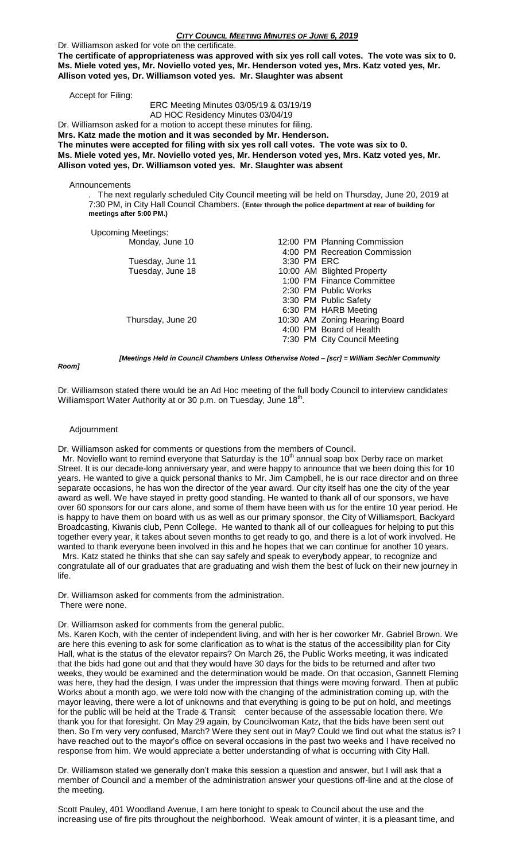Dr. Williamson asked for vote on the certificate.

**The certificate of appropriateness was approved with six yes roll call votes. The vote was six to 0. Ms. Miele voted yes, Mr. Noviello voted yes, Mr. Henderson voted yes, Mrs. Katz voted yes, Mr. Allison voted yes, Dr. Williamson voted yes. Mr. Slaughter was absent**

Accept for Filing:

## ERC Meeting Minutes 03/05/19 & 03/19/19 AD HOC Residency Minutes 03/04/19

Dr. Williamson asked for a motion to accept these minutes for filing.

**Mrs. Katz made the motion and it was seconded by Mr. Henderson.**

**The minutes were accepted for filing with six yes roll call votes. The vote was six to 0. Ms. Miele voted yes, Mr. Noviello voted yes, Mr. Henderson voted yes, Mrs. Katz voted yes, Mr. Allison voted yes, Dr. Williamson voted yes. Mr. Slaughter was absent**

**Announcements** 

. The next regularly scheduled City Council meeting will be held on Thursday, June 20, 2019 at 7:30 PM, in City Hall Council Chambers. (**Enter through the police department at rear of building for meetings after 5:00 PM.)**

### Upcoming Meetings:

| Monday, June 10   |  | 12:00 PM Planning Commission  |
|-------------------|--|-------------------------------|
|                   |  | 4:00 PM Recreation Commission |
| Tuesday, June 11  |  | 3:30 PM ERC                   |
| Tuesday, June 18  |  | 10:00 AM Blighted Property    |
|                   |  | 1:00 PM Finance Committee     |
|                   |  | 2:30 PM Public Works          |
|                   |  | 3:30 PM Public Safety         |
|                   |  | 6:30 PM HARB Meeting          |
| Thursday, June 20 |  | 10:30 AM Zoning Hearing Board |
|                   |  | 4:00 PM Board of Health       |
|                   |  | 7:30 PM City Council Meeting  |
|                   |  |                               |

*Room]*

*[Meetings Held in Council Chambers Unless Otherwise Noted – [scr] = William Sechler Community* 

Dr. Williamson stated there would be an Ad Hoc meeting of the full body Council to interview candidates Williamsport Water Authority at or 30 p.m. on Tuesday, June 18<sup>th</sup>.

## Adjournment

Dr. Williamson asked for comments or questions from the members of Council.

Mr. Noviello want to remind everyone that Saturday is the 10<sup>th</sup> annual soap box Derby race on market Street. It is our decade-long anniversary year, and were happy to announce that we been doing this for 10 years. He wanted to give a quick personal thanks to Mr. Jim Campbell, he is our race director and on three separate occasions, he has won the director of the year award. Our city itself has one the city of the year award as well. We have stayed in pretty good standing. He wanted to thank all of our sponsors, we have over 60 sponsors for our cars alone, and some of them have been with us for the entire 10 year period. He is happy to have them on board with us as well as our primary sponsor, the City of Williamsport, Backyard Broadcasting, Kiwanis club, Penn College. He wanted to thank all of our colleagues for helping to put this together every year, it takes about seven months to get ready to go, and there is a lot of work involved. He wanted to thank everyone been involved in this and he hopes that we can continue for another 10 years.

 Mrs. Katz stated he thinks that she can say safely and speak to everybody appear, to recognize and congratulate all of our graduates that are graduating and wish them the best of luck on their new journey in life.

Dr. Williamson asked for comments from the administration. There were none.

Dr. Williamson asked for comments from the general public.

Ms. Karen Koch, with the center of independent living, and with her is her coworker Mr. Gabriel Brown. We are here this evening to ask for some clarification as to what is the status of the accessibility plan for City Hall, what is the status of the elevator repairs? On March 26, the Public Works meeting, it was indicated that the bids had gone out and that they would have 30 days for the bids to be returned and after two weeks, they would be examined and the determination would be made. On that occasion, Gannett Fleming was here, they had the design, I was under the impression that things were moving forward. Then at public Works about a month ago, we were told now with the changing of the administration coming up, with the mayor leaving, there were a lot of unknowns and that everything is going to be put on hold, and meetings for the public will be held at the Trade & Transit center because of the assessable location there. We thank you for that foresight. On May 29 again, by Councilwoman Katz, that the bids have been sent out then. So I'm very very confused, March? Were they sent out in May? Could we find out what the status is? I have reached out to the mayor's office on several occasions in the past two weeks and I have received no response from him. We would appreciate a better understanding of what is occurring with City Hall.

Dr. Williamson stated we generally don't make this session a question and answer, but I will ask that a member of Council and a member of the administration answer your questions off-line and at the close of the meeting.

Scott Pauley, 401 Woodland Avenue, I am here tonight to speak to Council about the use and the increasing use of fire pits throughout the neighborhood. Weak amount of winter, it is a pleasant time, and